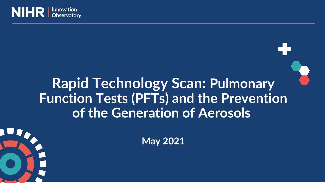

# **Rapid Technology Scan: Pulmonary Function Tests (PFTs) and the Prevention of the Generation of Aerosols**



**May 2021**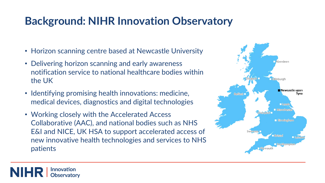# **Background: NIHR Innovation Observatory**

- Horizon scanning centre based at Newcastle University
- Delivering horizon scanning and early awareness notification service to national healthcare bodies within the UK
- Identifying promising health innovations: medicine, medical devices, diagnostics and digital technologies
- Working closely with the Accelerated Access Collaborative (AAC), and national bodies such as NHS E&I and NICE, UK HSA to support accelerated access of new innovative health technologies and services to NHS patients

Innovation Observatorv

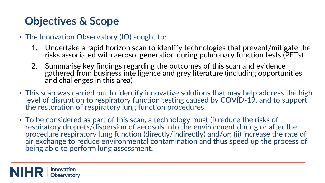# **Objectives & Scope**

- The Innovation Observatory (IO) sought to:
	- 1. Undertake a rapid horizon scan to identify technologies that prevent/mitigate the risks associated with aerosol generation during pulmonary function tests (PFTs)
	- 2. Summarise key findings regarding the outcomes of this scan and evidence gathered from business intelligence and grey literature (including opportunities and challenges in this area)
- This scan was carried out to identify innovative solutions that may help address the high level of disruption to respiratory function testing caused by COVID-19, and to support the restoration of respiratory lung function procedures.
- To be considered as part of this scan, a technology must (i) reduce the risks of respiratory droplets/dispersion of aerosols into the environment during or after the procedure respiratory lung function (directly/indirectly) and/or; (ii) increase the rate of air exchange to reduce environmental contamination and thus speed up the process of being able to perform lung assessment.

Innovation **NIHRI Observatory**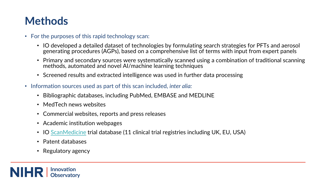# **Methods**

- For the purposes of this rapid technology scan:
	- IO developed a detailed dataset of technologies by formulating search strategies for PFTs and aerosol generating procedures (AGPs), based on a comprehensive list of terms with input from expert panels
	- Primary and secondary sources were systematically scanned using a combination of traditional scanning methods, automated and novel AI/machine learning techniques
	- Screened results and extracted intelligence was used in further data processing
- Information sources used as part of this scan included, *inter alia:*
	- Bibliographic databases, including PubMed, EMBASE and MEDLINE
	- MedTech news websites
	- Commercial websites, reports and press releases
	- Academic institution webpages
	- IO [ScanMedicine](https://scanmedicine.com/) trial database (11 clinical trial registries including UK, EU, USA)
	- Patent databases
	- Regulatory agency

**Innovation NIHR** Observatory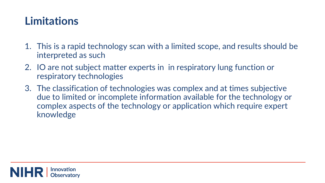### **Limitations**

- 1. This is a rapid technology scan with a limited scope, and results should be interpreted as such
- 2. IO are not subject matter experts in in respiratory lung function or respiratory technologies
- 3. The classification of technologies was complex and at times subjective due to limited or incomplete information available for the technology or complex aspects of the technology or application which require expert knowledge

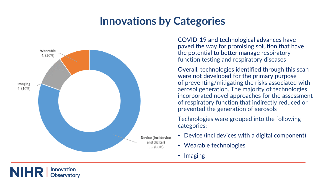# **Innovations by Categories**



COVID-19 and technological advances have paved the way for promising solution that have the potential to better manage respiratory function testing and respiratory diseases

Overall, technologies identified through this scan were not developed for the primary purpose of preventing/mitigating the risks associated with aerosol generation. The majority of technologies incorporated novel approaches for the assessment of respiratory function that indirectly reduced or prevented the generation of aerosols

Technologies were grouped into the following categories:

- Device (incl devices with a digital component)
- Wearable technologies
- Imaging

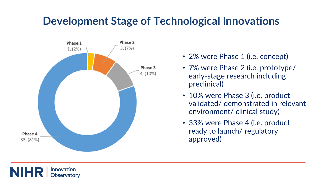### **Development Stage of Technological Innovations**



- 2% were Phase 1 (i.e. concept)
- 7% were Phase 2 (i.e. prototype/ early-stage research including preclinical)
- 10% were Phase 3 (i.e. product validated/ demonstrated in relevant environment/ clinical study)
- 33% were Phase 4 (i.e. product ready to launch/ regulatory approved)

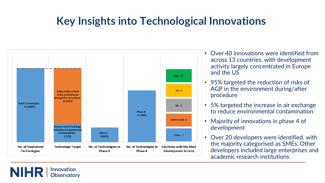# **Key Insights into Technological Innovations**



**NIHR** 

**Innovation Observatory** 

- Over 40 innovations were identified from across 13 countries, with development activity largely concentrated in Europe and the US
- 95% targeted the reduction of risks of AGP in the environment during/after procedure
- 5% targeted the increase in air exchange to reduce environmental contamination
- Majority of innovations in phase 4 of development
- Over 20 developers were identified, with the majority categorised as SMEs. Other developers included large enterprises and academic research institutions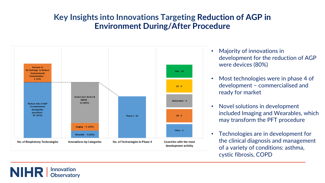#### **Key Insights into Innovations Targeting Reduction of AGP in Environment During/After Procedure**



**NIHR** 

Innovation **Observatory** 

- Majority of innovations in development for the reduction of AGP were devices (80%)
- Most technologies were in phase 4 of development – commercialised and ready for market
- Novel solutions in development included Imaging and Wearables, which may transform the PFT procedure
- Technologies are in development for the clinical diagnosis and management of a variety of conditions: asthma, cystic fibrosis, COPD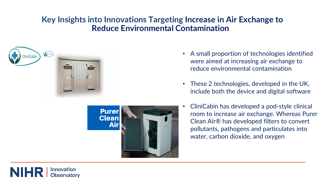#### **Key Insights into Innovations Targeting Increase in Air Exchange to Reduce Environmental Contamination**





- A small proportion of technologies identified were aimed at increasing air exchange to reduce environmental contamination
- These 2 technologies, developed in the UK, include both the device and digital software
- CliniCabin has developed a pod-style clinical room to increase air exchange. Whereas Purer Clean Air® has developed filters to convert pollutants, pathogens and particulates into water, carbon dioxide, and oxygen

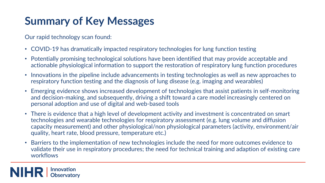# **Summary of Key Messages**

Our rapid technology scan found:

- COVID-19 has dramatically impacted respiratory technologies for lung function testing
- Potentially promising technological solutions have been identified that may provide acceptable and actionable physiological information to support the restoration of respiratory lung function procedures
- Innovations in the pipeline include advancements in testing technologies as well as new approaches to respiratory function testing and the diagnosis of lung disease (e.g. imaging and wearables)
- Emerging evidence shows increased development of technologies that assist patients in self-monitoring and decision-making, and subsequently, driving a shift toward a care model increasingly centered on personal adoption and use of digital and web-based tools
- There is evidence that a high level of development activity and investment is concentrated on smart technologies and wearable technologies for respiratory assessment (e.g. lung volume and diffusion capacity measurement) and other physiological/non physiological parameters (activity, environment/air quality, heart rate, blood pressure, temperature etc.)
- Barriers to the implementation of new technologies include the need for more outcomes evidence to validate their use in respiratory procedures; the need for technical training and adaption of existing care workflows

Innovation **NIHR Observatory**